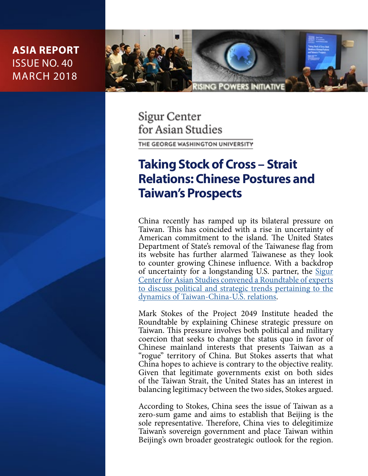

Sigur Center for Asian Studies

THE GEORGE WASHINGTON UNIVERSITY

# **Taking Stock of Cross – Strait Relations: Chinese Postures and Taiwan's Prospects**

China recently has ramped up its bilateral pressure on Taiwan. This has coincided with a rise in uncertainty of American commitment to the island. The United States Department of State's removal of the Taiwanese flag from its website has further alarmed Taiwanese as they look to counter growing Chinese influence. With a backdrop of uncertainty for a longstanding U.S. partner, the **[Sigur](https://www2.gwu.edu/~sigur/news/events/events2018/2018_feb7_TaiwanRoundtable.cfm)** [Center for Asian Studies convened a Roundtable of experts](https://www2.gwu.edu/~sigur/news/events/events2018/2018_feb7_TaiwanRoundtable.cfm) [to discuss political and strategic trends pertaining to the](https://www2.gwu.edu/~sigur/news/events/events2018/2018_feb7_TaiwanRoundtable.cfm) [dynamics of Taiwan-China-U.S. relations.](https://www2.gwu.edu/~sigur/news/events/events2018/2018_feb7_TaiwanRoundtable.cfm)

Mark Stokes of the Project 2049 Institute headed the Roundtable by explaining Chinese strategic pressure on Taiwan. This pressure involves both political and military coercion that seeks to change the status quo in favor of Chinese mainland interests that presents Taiwan as a "rogue" territory of China. But Stokes asserts that what China hopes to achieve is contrary to the objective reality. Given that legitimate governments exist on both sides of the Taiwan Strait, the United States has an interest in balancing legitimacy between the two sides, Stokes argued.

According to Stokes, China sees the issue of Taiwan as a zero-sum game and aims to establish that Beijing is the sole representative. Therefore, China vies to delegitimize Taiwan's sovereign government and place Taiwan within Beijing's own broader geostrategic outlook for the region.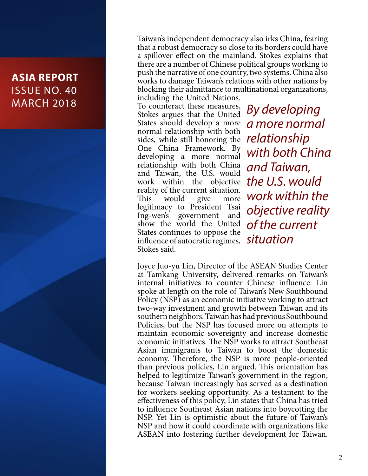Taiwan's independent democracy also irks China, fearing that a robust democracy so close to its borders could have a spillover effect on the mainland. Stokes explains that there are a number of Chinese political groups working to push the narrative of one country, two systems. China also works to damage Taiwan's relations with other nations by blocking their admittance to multinational organizations,

including the United Nations. To counteract these measures, Stokes argues that the United States should develop a more normal relationship with both sides, while still honoring the One China Framework. By developing a more normal relationship with both China and Taiwan, the U.S. would work within the objective *the U.S. would*  reality of the current situation. This would give more legitimacy to President Tsai Ing-wen's government and show the world the United *of the current* States continues to oppose the influence of autocratic regimes, *situation* Stokes said.

*By developing a more normal relationship with both China and Taiwan, work within the objective reality* 

Joyce Juo-yu Lin, Director of the ASEAN Studies Center at Tamkang University, delivered remarks on Taiwan's internal initiatives to counter Chinese influence. Lin spoke at length on the role of Taiwan's New Southbound Policy (NSP) as an economic initiative working to attract two-way investment and growth between Taiwan and its southern neighbors. Taiwan has had previous Southbound Policies, but the NSP has focused more on attempts to maintain economic sovereignty and increase domestic economic initiatives. The NSP works to attract Southeast Asian immigrants to Taiwan to boost the domestic economy. Therefore, the NSP is more people-oriented than previous policies, Lin argued. This orientation has helped to legitimize Taiwan's government in the region, because Taiwan increasingly has served as a destination for workers seeking opportunity. As a testament to the effectiveness of this policy, Lin states that China has tried to influence Southeast Asian nations into boycotting the NSP. Yet Lin is optimistic about the future of Taiwan's NSP and how it could coordinate with organizations like ASEAN into fostering further development for Taiwan.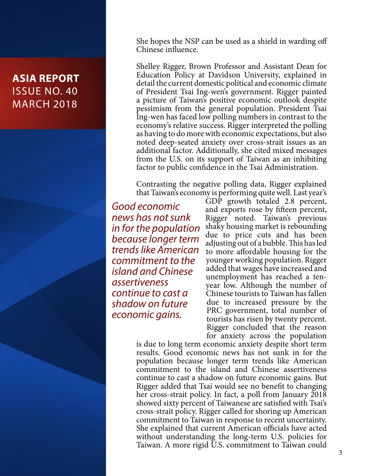She hopes the NSP can be used as a shield in warding off Chinese influence.

Shelley Rigger, Brown Professor and Assistant Dean for Education Policy at Davidson University, explained in detail the current domestic political and economic climate of President Tsai Ing-wen's government. Rigger painted a picture of Taiwan's positive economic outlook despite pessimism from the general population. President Tsai Ing-wen has faced low polling numbers in contrast to the economy's relative success. Rigger interpreted the polling as having to do more with economic expectations, but also noted deep-seated anxiety over cross-strait issues as an additional factor. Additionally, she cited mixed messages from the U.S. on its support of Taiwan as an inhibiting factor to public confidence in the Tsai Administration.

Contrasting the negative polling data, Rigger explained that Taiwan's economy is performing quite well. Last year's

*Good economic news has not sunk in for the population because longer term trends like American commitment to the island and Chinese assertiveness continue to cast a shadow on future economic gains.*

GDP growth totaled 2.8 percent, and exports rose by fifteen percent, Rigger noted. Taiwan's previous shaky housing market is rebounding due to price cuts and has been adjusting out of a bubble. This has led to more affordable housing for the younger working population. Rigger added that wages have increased and unemployment has reached a tenyear low. Although the number of Chinese tourists to Taiwan has fallen due to increased pressure by the PRC government, total number of tourists has risen by twenty percent. Rigger concluded that the reason for anxiety across the population

is due to long term economic anxiety despite short term results. Good economic news has not sunk in for the population because longer term trends like American commitment to the island and Chinese assertiveness continue to cast a shadow on future economic gains. But Rigger added that Tsai would see no benefit to changing her cross-strait policy. In fact, a poll from January 2018 showed sixty percent of Taiwanese are satisfied with Tsai's cross-strait policy. Rigger called for shoring up American commitment to Taiwan in response to recent uncertainty. She explained that current American officials have acted without understanding the long-term U.S. policies for Taiwan. A more rigid U.S. commitment to Taiwan could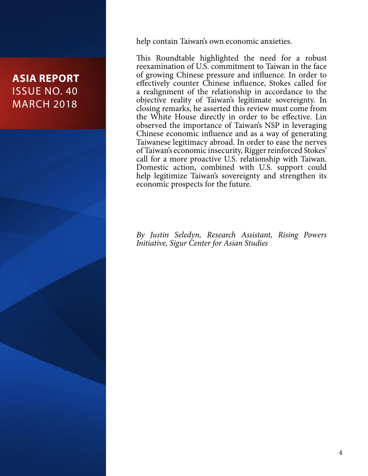

This Roundtable highlighted the need for a robust reexamination of U.S. commitment to Taiwan in the face of growing Chinese pressure and influence. In order to effectively counter Chinese influence, Stokes called for a realignment of the relationship in accordance to the objective reality of Taiwan's legitimate sovereignty. In closing remarks, he asserted this review must come from the White House directly in order to be effective. Lin observed the importance of Taiwan's NSP in leveraging Chinese economic influence and as a way of generating Taiwanese legitimacy abroad. In order to ease the nerves of Taiwan's economic insecurity, Rigger reinforced Stokes' call for a more proactive U.S. relationship with Taiwan. Domestic action, combined with U.S. support could help legitimize Taiwan's sovereignty and strengthen its economic prospects for the future.

*By Justin Seledyn, Research Assistant, Rising Powers Initiative, Sigur Center for Asian Studies*